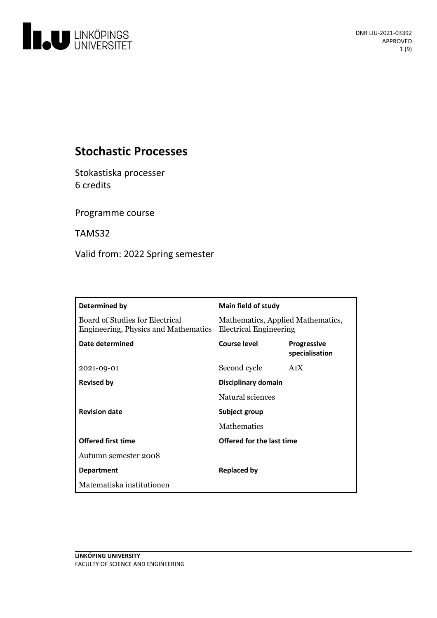

# **Stochastic Processes**

Stokastiska processer 6 credits

Programme course

TAMS32

Valid from: 2022 Spring semester

| Determined by                                                                  | <b>Main field of study</b>                                         |                                      |
|--------------------------------------------------------------------------------|--------------------------------------------------------------------|--------------------------------------|
| <b>Board of Studies for Electrical</b><br>Engineering, Physics and Mathematics | Mathematics, Applied Mathematics,<br><b>Electrical Engineering</b> |                                      |
| Date determined                                                                | Course level                                                       | <b>Progressive</b><br>specialisation |
| 2021-09-01                                                                     | Second cycle                                                       | A <sub>1</sub> X                     |
| <b>Revised by</b>                                                              | Disciplinary domain                                                |                                      |
|                                                                                | Natural sciences                                                   |                                      |
| <b>Revision date</b>                                                           | Subject group                                                      |                                      |
|                                                                                | <b>Mathematics</b>                                                 |                                      |
| <b>Offered first time</b>                                                      | Offered for the last time                                          |                                      |
| Autumn semester 2008                                                           |                                                                    |                                      |
| <b>Department</b>                                                              | <b>Replaced by</b>                                                 |                                      |
| Matematiska institutionen                                                      |                                                                    |                                      |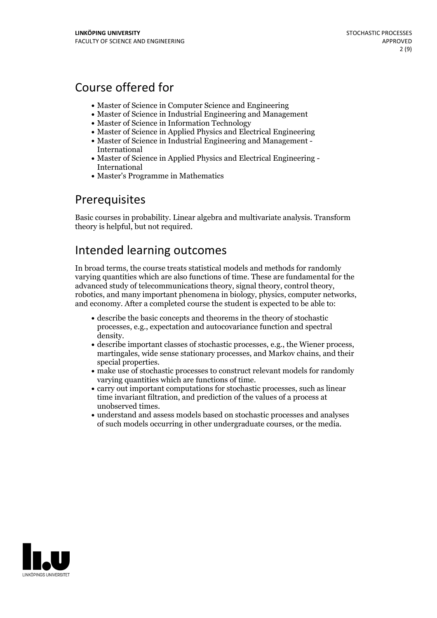# Course offered for

- Master of Science in Computer Science and Engineering
- Master of Science in Industrial Engineering and Management
- Master of Science in Information Technology
- Master of Science in Applied Physics and Electrical Engineering
- Master of Science in Industrial Engineering and Management International
- Master of Science in Applied Physics and Electrical Engineering International
- Master's Programme in Mathematics

# Prerequisites

Basic courses in probability. Linear algebra and multivariate analysis. Transform theory is helpful, but not required.

# Intended learning outcomes

In broad terms, the course treats statistical models and methods for randomly varying quantities which are also functions of time. These are fundamental for the robotics, and many important phenomena in biology, physics, computer networks, and economy. After a completed course the student is expected to be able to:

- describe the basic concepts and theorems in the theory of stochastic processes, e.g., expectation and autocovariance function and spectral
- density.<br>• describe important classes of stochastic processes, e.g., the Wiener process, martingales, wide sense stationary processes, and Markov chains, and their special properties.<br>• make use of stochastic processes to construct relevant models for randomly
- varying quantities which are functions of time.<br>• carry out important computations for stochastic processes, such as linear
- time invariant filtration, and prediction of the values of a process at unobserved times.<br>• understand and assess models based on stochastic processes and analyses
- of such models occurring in other undergraduate courses, or the media.

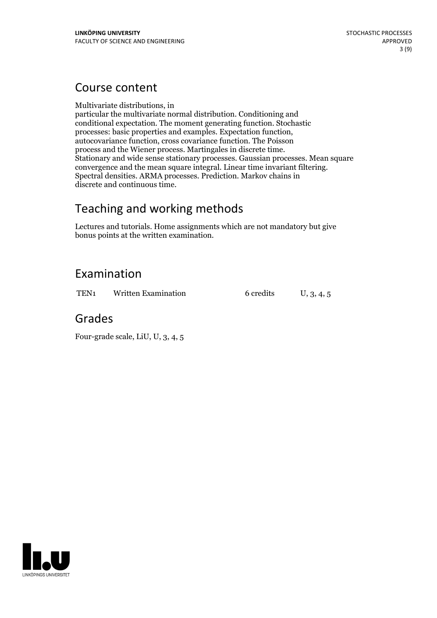# Course content

Multivariate distributions, in

particular the multivariate normal distribution. Conditioning and conditional expectation. The moment generating function. Stochastic autocovariance function, cross covariance function. The Poisson<br>process and the Wiener process. Martingales in discrete time. Stationary and wide sense stationary processes. Gaussian processes. Mean square convergence and the mean square integral. Linear time invariant filtering. Spectral densities. ARMA processes. Prediction. Markov chains in discrete and continuous time.

# Teaching and working methods

Lectures and tutorials. Home assignments which are not mandatory but give bonus points at the written examination.

# Examination

TEN<sub>1</sub> Written Examination 6 credits U, 3, 4, 5

# Grades

Four-grade scale, LiU, U, 3, 4, 5

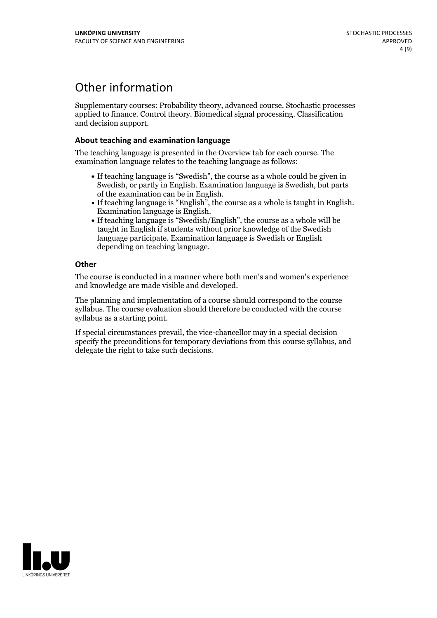# Other information

Supplementary courses: Probability theory, advanced course. Stochastic processes applied to finance. Control theory. Biomedical signal processing. Classification and decision support.

### **About teaching and examination language**

The teaching language is presented in the Overview tab for each course. The examination language relates to the teaching language as follows:

- If teaching language is "Swedish", the course as a whole could be given in Swedish, or partly in English. Examination language is Swedish, but parts
- of the examination can be in English. If teaching language is "English", the course as <sup>a</sup> whole is taught in English. Examination language is English. If teaching language is "Swedish/English", the course as <sup>a</sup> whole will be
- taught in English if students without prior knowledge of the Swedish language participate. Examination language is Swedish or English depending on teaching language.

### **Other**

The course is conducted in a manner where both men's and women's experience and knowledge are made visible and developed.

The planning and implementation of a course should correspond to the course syllabus. The course evaluation should therefore be conducted with the course syllabus as a starting point.

If special circumstances prevail, the vice-chancellor may in a special decision specify the preconditions for temporary deviations from this course syllabus, and delegate the right to take such decisions.

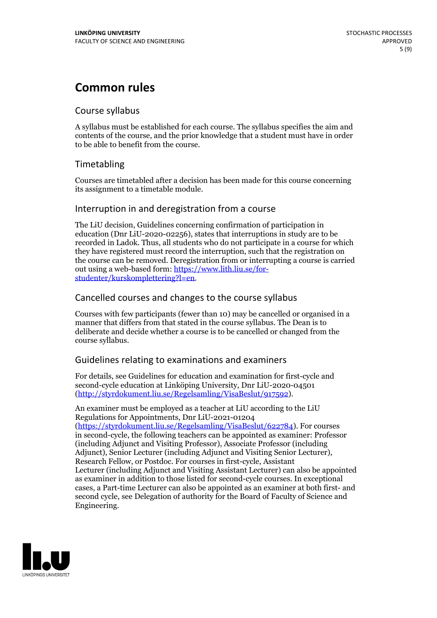# **Common rules**

### Course syllabus

A syllabus must be established for each course. The syllabus specifies the aim and contents of the course, and the prior knowledge that a student must have in order to be able to benefit from the course.

## Timetabling

Courses are timetabled after a decision has been made for this course concerning its assignment to a timetable module.

### Interruption in and deregistration from a course

The LiU decision, Guidelines concerning confirmation of participation in education (Dnr LiU-2020-02256), states that interruptions in study are to be recorded in Ladok. Thus, all students who do not participate in a course for which they have registered must record the interruption, such that the registration on the course can be removed. Deregistration from or interrupting a course is carried out using <sup>a</sup> web-based form: https://www.lith.liu.se/for- [studenter/kurskomplettering?l=en.](https://www.lith.liu.se/for-studenter/kurskomplettering?l=en)

## Cancelled courses and changes to the course syllabus

Courses with few participants (fewer than 10) may be cancelled or organised in a manner that differs from that stated in the course syllabus. The Dean is to deliberate and decide whether a course is to be cancelled or changed from the course syllabus.

## Guidelines relating to examinations and examiners

For details, see Guidelines for education and examination for first-cycle and second-cycle education at Linköping University, Dnr LiU-2020-04501 [\(http://styrdokument.liu.se/Regelsamling/VisaBeslut/917592\)](http://styrdokument.liu.se/Regelsamling/VisaBeslut/917592).

An examiner must be employed as a teacher at LiU according to the LiU Regulations for Appointments, Dnr LiU-2021-01204 [\(https://styrdokument.liu.se/Regelsamling/VisaBeslut/622784](https://styrdokument.liu.se/Regelsamling/VisaBeslut/622784)). For courses in second-cycle, the following teachers can be appointed as examiner: Professor (including Adjunct and Visiting Professor), Associate Professor (including Adjunct), Senior Lecturer (including Adjunct and Visiting Senior Lecturer), Research Fellow, or Postdoc. For courses in first-cycle, Assistant Lecturer (including Adjunct and Visiting Assistant Lecturer) can also be appointed as examiner in addition to those listed for second-cycle courses. In exceptional cases, a Part-time Lecturer can also be appointed as an examiner at both first- and second cycle, see Delegation of authority for the Board of Faculty of Science and Engineering.

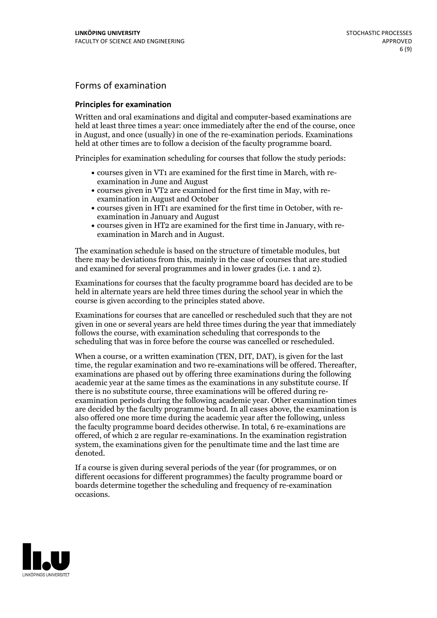## Forms of examination

### **Principles for examination**

Written and oral examinations and digital and computer-based examinations are held at least three times a year: once immediately after the end of the course, once in August, and once (usually) in one of the re-examination periods. Examinations held at other times are to follow a decision of the faculty programme board.

Principles for examination scheduling for courses that follow the study periods:

- courses given in VT1 are examined for the first time in March, with re-examination in June and August
- courses given in VT2 are examined for the first time in May, with re-examination in August and October
- courses given in HT1 are examined for the first time in October, with re-examination in January and August
- courses given in HT2 are examined for the first time in January, with re-examination in March and in August.

The examination schedule is based on the structure of timetable modules, but there may be deviations from this, mainly in the case of courses that are studied and examined for several programmes and in lower grades (i.e. 1 and 2).

Examinations for courses that the faculty programme board has decided are to be held in alternate years are held three times during the school year in which the course is given according to the principles stated above.

Examinations for courses that are cancelled orrescheduled such that they are not given in one or several years are held three times during the year that immediately follows the course, with examination scheduling that corresponds to the scheduling that was in force before the course was cancelled or rescheduled.

When a course, or a written examination (TEN, DIT, DAT), is given for the last time, the regular examination and two re-examinations will be offered. Thereafter, examinations are phased out by offering three examinations during the following academic year at the same times as the examinations in any substitute course. If there is no substitute course, three examinations will be offered during re- examination periods during the following academic year. Other examination times are decided by the faculty programme board. In all cases above, the examination is also offered one more time during the academic year after the following, unless the faculty programme board decides otherwise. In total, 6 re-examinations are offered, of which 2 are regular re-examinations. In the examination registration system, the examinations given for the penultimate time and the last time are denoted.

If a course is given during several periods of the year (for programmes, or on different occasions for different programmes) the faculty programme board or boards determine together the scheduling and frequency of re-examination occasions.

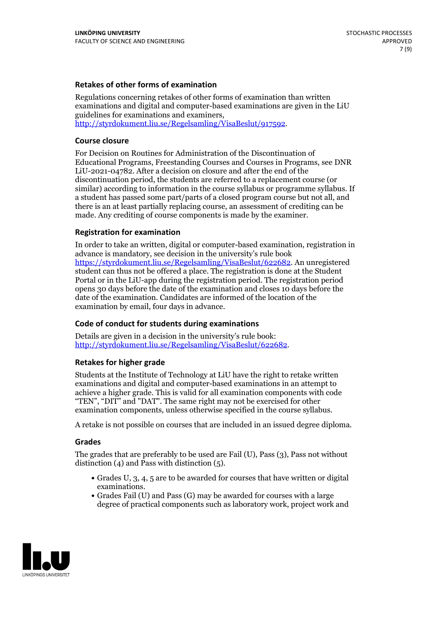### **Retakes of other forms of examination**

Regulations concerning retakes of other forms of examination than written examinations and digital and computer-based examinations are given in the LiU guidelines for examinations and examiners, [http://styrdokument.liu.se/Regelsamling/VisaBeslut/917592.](http://styrdokument.liu.se/Regelsamling/VisaBeslut/917592)

#### **Course closure**

For Decision on Routines for Administration of the Discontinuation of Educational Programs, Freestanding Courses and Courses in Programs, see DNR LiU-2021-04782. After a decision on closure and after the end of the discontinuation period, the students are referred to a replacement course (or similar) according to information in the course syllabus or programme syllabus. If a student has passed some part/parts of a closed program course but not all, and there is an at least partially replacing course, an assessment of crediting can be made. Any crediting of course components is made by the examiner.

#### **Registration for examination**

In order to take an written, digital or computer-based examination, registration in advance is mandatory, see decision in the university's rule book [https://styrdokument.liu.se/Regelsamling/VisaBeslut/622682.](https://styrdokument.liu.se/Regelsamling/VisaBeslut/622682) An unregistered student can thus not be offered a place. The registration is done at the Student Portal or in the LiU-app during the registration period. The registration period opens 30 days before the date of the examination and closes 10 days before the date of the examination. Candidates are informed of the location of the examination by email, four days in advance.

#### **Code of conduct for students during examinations**

Details are given in a decision in the university's rule book: <http://styrdokument.liu.se/Regelsamling/VisaBeslut/622682>.

#### **Retakes for higher grade**

Students at the Institute of Technology at LiU have the right to retake written examinations and digital and computer-based examinations in an attempt to achieve a higher grade. This is valid for all examination components with code "TEN", "DIT" and "DAT". The same right may not be exercised for other examination components, unless otherwise specified in the course syllabus.

A retake is not possible on courses that are included in an issued degree diploma.

#### **Grades**

The grades that are preferably to be used are Fail (U), Pass (3), Pass not without distinction  $(4)$  and Pass with distinction  $(5)$ .

- Grades U, 3, 4, 5 are to be awarded for courses that have written or digital examinations.<br>• Grades Fail (U) and Pass (G) may be awarded for courses with a large
- degree of practical components such as laboratory work, project work and

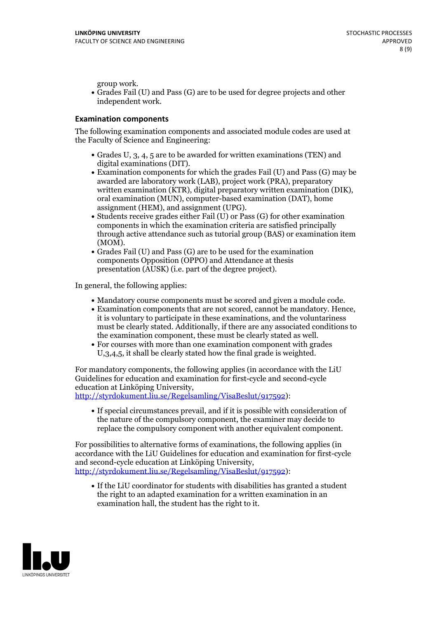group work.<br>• Grades Fail (U) and Pass (G) are to be used for degree projects and other independent work.

### **Examination components**

The following examination components and associated module codes are used at the Faculty of Science and Engineering:

- Grades U, 3, 4, 5 are to be awarded for written examinations (TEN) and
- digital examinations (DIT).<br>• Examination components for which the grades Fail (U) and Pass (G) may be awarded are laboratory work (LAB), project work (PRA), preparatory written examination (KTR), digital preparatory written examination (DIK), oral examination (MUN), computer-based examination (DAT), home
- assignment (HEM), and assignment (UPG).<br>• Students receive grades either Fail (U) or Pass (G) for other examination components in which the examination criteria are satisfied principally through active attendance such as tutorial group (BAS) or examination item
- (MOM).<br>• Grades Fail (U) and Pass (G) are to be used for the examination components Opposition (OPPO) and Attendance at thesis presentation (AUSK) (i.e. part of the degree project).

In general, the following applies:

- 
- Mandatory course components must be scored and given <sup>a</sup> module code. Examination components that are not scored, cannot be mandatory. Hence, it is voluntary to participate in these examinations, and the voluntariness must be clearly stated. Additionally, if there are any associated conditions to
- the examination component, these must be clearly stated as well.<br>• For courses with more than one examination component with grades U,3,4,5, it shall be clearly stated how the final grade is weighted.

For mandatory components, the following applies (in accordance with the LiU Guidelines for education and examination for first-cycle and second-cycle education at Linköping University,<br>[http://styrdokument.liu.se/Regelsamling/VisaBeslut/917592\)](http://styrdokument.liu.se/Regelsamling/VisaBeslut/917592):

If special circumstances prevail, and if it is possible with consideration of the nature of the compulsory component, the examiner may decide to replace the compulsory component with another equivalent component.

For possibilities to alternative forms of examinations, the following applies (in accordance with the LiU Guidelines for education and examination for first-cycle [http://styrdokument.liu.se/Regelsamling/VisaBeslut/917592\)](http://styrdokument.liu.se/Regelsamling/VisaBeslut/917592):

If the LiU coordinator for students with disabilities has granted a student the right to an adapted examination for a written examination in an examination hall, the student has the right to it.